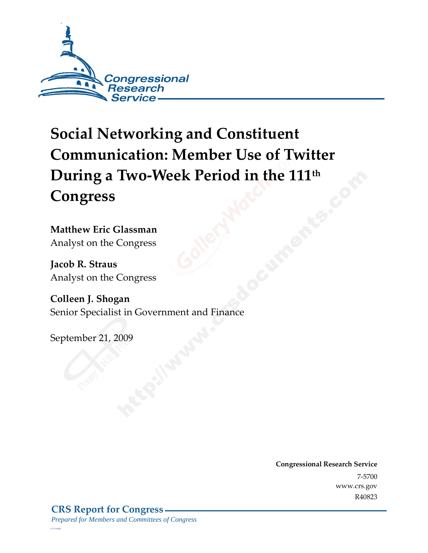

# **Social Networking and Constituent Communication: Member Use of Twitter During a Two-Week Period in the 111th Congress**

**Matthew Eric Glassman**  Analyst on the Congress

**Jacob R. Straus**  Analyst on the Congress

**Colleen J. Shogan**  Senior Specialist in Government and Finance

September 21, 2009

**Congressional Research Service** 7-5700 www.crs.gov R40823

*c11173008*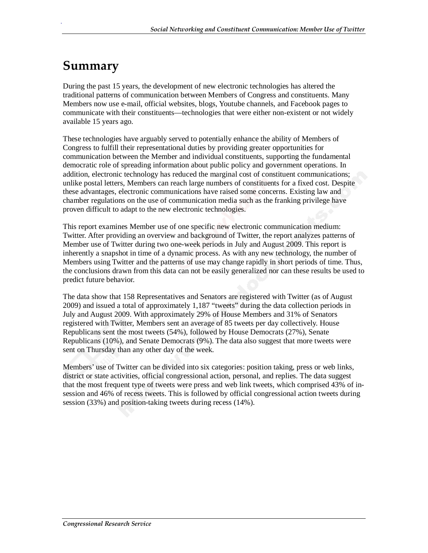## **Summary**

.

During the past 15 years, the development of new electronic technologies has altered the traditional patterns of communication between Members of Congress and constituents. Many Members now use e-mail, official websites, blogs, Youtube channels, and Facebook pages to communicate with their constituents—technologies that were either non-existent or not widely available 15 years ago.

These technologies have arguably served to potentially enhance the ability of Members of Congress to fulfill their representational duties by providing greater opportunities for communication between the Member and individual constituents, supporting the fundamental democratic role of spreading information about public policy and government operations. In addition, electronic technology has reduced the marginal cost of constituent communications; unlike postal letters, Members can reach large numbers of constituents for a fixed cost. Despite these advantages, electronic communications have raised some concerns. Existing law and chamber regulations on the use of communication media such as the franking privilege have proven difficult to adapt to the new electronic technologies.

This report examines Member use of one specific new electronic communication medium: Twitter. After providing an overview and background of Twitter, the report analyzes patterns of Member use of Twitter during two one-week periods in July and August 2009. This report is inherently a snapshot in time of a dynamic process. As with any new technology, the number of Members using Twitter and the patterns of use may change rapidly in short periods of time. Thus, the conclusions drawn from this data can not be easily generalized nor can these results be used to predict future behavior.

The data show that 158 Representatives and Senators are registered with Twitter (as of August 2009) and issued a total of approximately 1,187 "tweets" during the data collection periods in July and August 2009. With approximately 29% of House Members and 31% of Senators registered with Twitter, Members sent an average of 85 tweets per day collectively. House Republicans sent the most tweets (54%), followed by House Democrats (27%), Senate Republicans (10%), and Senate Democrats (9%). The data also suggest that more tweets were sent on Thursday than any other day of the week.

Members' use of Twitter can be divided into six categories: position taking, press or web links, district or state activities, official congressional action, personal, and replies. The data suggest that the most frequent type of tweets were press and web link tweets, which comprised 43% of insession and 46% of recess tweets. This is followed by official congressional action tweets during session (33%) and position-taking tweets during recess (14%).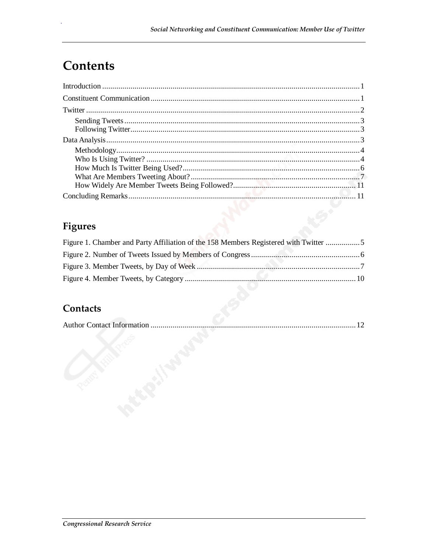## Contents

## **Figures**

| Figure 1. Chamber and Party Affiliation of the 158 Members Registered with Twitter |  |
|------------------------------------------------------------------------------------|--|
|                                                                                    |  |
|                                                                                    |  |
|                                                                                    |  |

## Contacts

|--|--|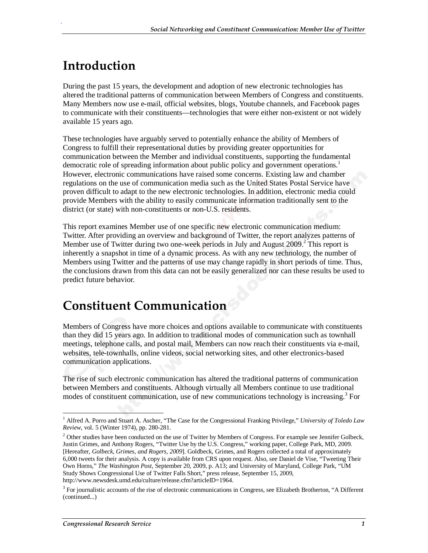## **Introduction**

.

During the past 15 years, the development and adoption of new electronic technologies has altered the traditional patterns of communication between Members of Congress and constituents. Many Members now use e-mail, official websites, blogs, Youtube channels, and Facebook pages to communicate with their constituents—technologies that were either non-existent or not widely available 15 years ago.

These technologies have arguably served to potentially enhance the ability of Members of Congress to fulfill their representational duties by providing greater opportunities for communication between the Member and individual constituents, supporting the fundamental democratic role of spreading information about public policy and government operations.<sup>1</sup> However, electronic communications have raised some concerns. Existing law and chamber regulations on the use of communication media such as the United States Postal Service have proven difficult to adapt to the new electronic technologies. In addition, electronic media could provide Members with the ability to easily communicate information traditionally sent to the district (or state) with non-constituents or non-U.S. residents.

This report examines Member use of one specific new electronic communication medium: Twitter. After providing an overview and background of Twitter, the report analyzes patterns of Member use of Twitter during two one-week periods in July and August 2009.<sup>2</sup> This report is inherently a snapshot in time of a dynamic process. As with any new technology, the number of Members using Twitter and the patterns of use may change rapidly in short periods of time. Thus, the conclusions drawn from this data can not be easily generalized nor can these results be used to predict future behavior.

## **Constituent Communication**

Members of Congress have more choices and options available to communicate with constituents than they did 15 years ago. In addition to traditional modes of communication such as townhall meetings, telephone calls, and postal mail, Members can now reach their constituents via e-mail, websites, tele-townhalls, online videos, social networking sites, and other electronics-based communication applications.

The rise of such electronic communication has altered the traditional patterns of communication between Members and constituents. Although virtually all Members continue to use traditional modes of constituent communication, use of new communications technology is increasing.<sup>3</sup> For

<sup>-</sup><sup>1</sup> Alfred A. Porro and Stuart A. Ascher, "The Case for the Congressional Franking Privilege," University of Toledo Law *Review*, vol. 5 (Winter 1974), pp. 280-281.

 $2$  Other studies have been conducted on the use of Twitter by Members of Congress. For example see Jennifer Golbeck, Justin Grimes, and Anthony Rogers, "Twitter Use by the U.S. Congress," working paper, College Park, MD, 2009. [Hereafter, *Golbeck, Grimes, and Rogers, 2009*]. Goldbeck, Grimes, and Rogers collected a total of approximately 6,000 tweets for their analysis. A copy is available from CRS upon request. Also, see Daniel de Vise, "Tweeting Their Own Horns," *The Washington Post*, September 20, 2009, p. A13; and University of Maryland, College Park, "UM Study Shows Congressional Use of Twitter Falls Short," press release, September 15, 2009, http://www.newsdesk.umd.edu/culture/release.cfm?articleID=1964.

<sup>&</sup>lt;sup>3</sup> For journalistic accounts of the rise of electronic communications in Congress, see Elizabeth Brotherton, "A Different (continued...)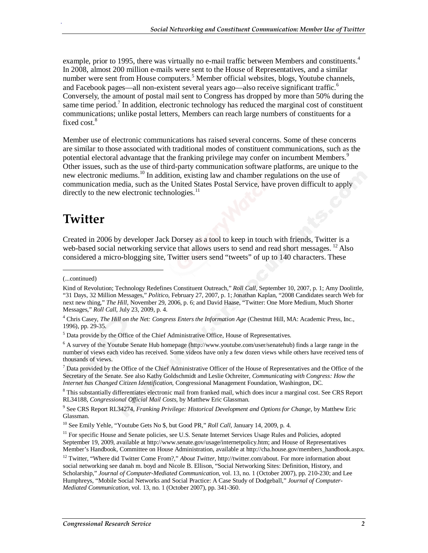example, prior to 1995, there was virtually no e-mail traffic between Members and constituents.<sup>4</sup> In 2008, almost 200 million e-mails were sent to the House of Representatives, and a similar number were sent from House computers.<sup>5</sup> Member official websites, blogs, Youtube channels, and Facebook pages—all non-existent several years ago—also receive significant traffic.<sup>6</sup> Conversely, the amount of postal mail sent to Congress has dropped by more than 50% during the same time period.<sup>7</sup> In addition, electronic technology has reduced the marginal cost of constituent communications; unlike postal letters, Members can reach large numbers of constituents for a fixed cost.<sup>8</sup>

Member use of electronic communications has raised several concerns. Some of these concerns are similar to those associated with traditional modes of constituent communications, such as the potential electoral advantage that the franking privilege may confer on incumbent Members.<sup>9</sup> Other issues, such as the use of third-party communication software platforms, are unique to the new electronic mediums.<sup>10</sup> In addition, existing law and chamber regulations on the use of communication media, such as the United States Postal Service, have proven difficult to apply directly to the new electronic technologies. $<sup>11</sup>$ </sup>

## **Twitter**

Created in 2006 by developer Jack Dorsey as a tool to keep in touch with friends, Twitter is a web-based social networking service that allows users to send and read short messages.  $^{12}$  Also considered a micro-blogging site, Twitter users send "tweets" of up to 140 characters. These

1

<sup>(...</sup>continued)

Kind of Revolution; Technology Redefines Constituent Outreach," *Roll Call*, September 10, 2007, p. 1; Amy Doolittle, "31 Days, 32 Million Messages," *Politico*, February 27, 2007, p. 1; Jonathan Kaplan, "2008 Candidates search Web for next new thing," *The Hill*, November 29, 2006, p. 6; and David Haase, "Twitter: One More Medium, Much Shorter Messages," *Roll Call*, July 23, 2009, p. 4.

<sup>&</sup>lt;sup>4</sup> Chris Casey, *The Hill on the Net: Congress Enters the Information Age* (Chestnut Hill, MA: Academic Press, Inc., 1996), pp. 29-35.

<sup>&</sup>lt;sup>5</sup> Data provide by the Office of the Chief Administrative Office, House of Representatives.

<sup>&</sup>lt;sup>6</sup> A survey of the Youtube Senate Hub homepage (http://www.youtube.com/user/senatehub) finds a large range in the number of views each video has received. Some videos have only a few dozen views while others have received tens of thousands of views.

 $<sup>7</sup>$  Data provided by the Office of the Chief Administrative Officer of the House of Representatives and the Office of the</sup> Secretary of the Senate. See also Kathy Goldschmidt and Leslie Ochreiter, *Communicating with Congress: How the Internet has Changed Citizen Identification*, Congressional Management Foundation, Washington, DC.

<sup>&</sup>lt;sup>8</sup> This substantially differentiates electronic mail from franked mail, which does incur a marginal cost. See CRS Report RL34188, *Congressional Official Mail Costs*, by Matthew Eric Glassman.

<sup>9</sup> See CRS Report RL34274, *Franking Privilege: Historical Development and Options for Change*, by Matthew Eric Glassman.

<sup>&</sup>lt;sup>10</sup> See Emily Yehle, "Youtube Gets No \$, but Good PR," Roll Call, January 14, 2009, p. 4.

<sup>&</sup>lt;sup>11</sup> For specific House and Senate policies, see U.S. Senate Internet Services Usage Rules and Policies, adopted September 19, 2009, available at http://www.senate.gov/usage/internetpolicy.htm; and House of Representatives Member's Handbook, Committee on House Administration, available at http://cha.house.gov/members\_handbook.aspx.

<sup>12</sup> Twitter, "Where did Twitter Come From?," *About Twitter*, http://twitter.com/about. For more information about social networking see danah m. boyd and Nicole B. Ellison, "Social Networking Sites: Definition, History, and Scholarship," *Journal of Computer-Mediated Communication*, vol. 13, no. 1 (October 2007), pp. 210-230; and Lee Humphreys, "Mobile Social Networks and Social Practice: A Case Study of Dodgeball," *Journal of Computer-Mediated Communication*, vol. 13, no. 1 (October 2007), pp. 341-360.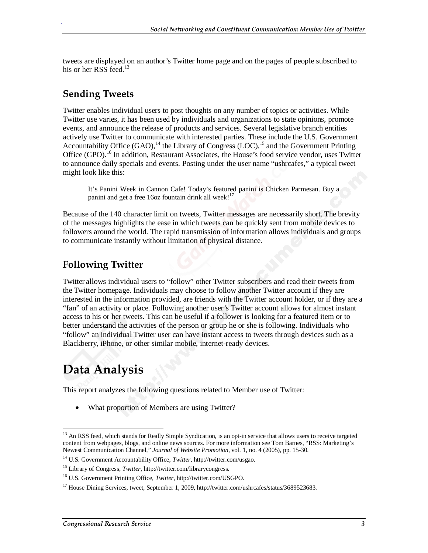tweets are displayed on an author's Twitter home page and on the pages of people subscribed to his or her RSS feed.<sup>13</sup>

### **Sending Tweets**

.

Twitter enables individual users to post thoughts on any number of topics or activities. While Twitter use varies, it has been used by individuals and organizations to state opinions, promote events, and announce the release of products and services. Several legislative branch entities actively use Twitter to communicate with interested parties. These include the U.S. Government Accountability Office  $(GAO)$ ,<sup>14</sup> the Library of Congress  $(LOC)$ ,<sup>15</sup> and the Government Printing Office (GPO).<sup>16</sup> In addition, Restaurant Associates, the House's food service vendor, uses Twitter to announce daily specials and events. Posting under the user name "ushrcafes," a typical tweet might look like this:

It's Panini Week in Cannon Cafe! Today's featured panini is Chicken Parmesan. Buy a panini and get a free 16oz fountain drink all week!<sup>17</sup>

Because of the 140 character limit on tweets, Twitter messages are necessarily short. The brevity of the messages highlights the ease in which tweets can be quickly sent from mobile devices to followers around the world. The rapid transmission of information allows individuals and groups to communicate instantly without limitation of physical distance.

### **Following Twitter**

Twitter allows individual users to "follow" other Twitter subscribers and read their tweets from the Twitter homepage. Individuals may choose to follow another Twitter account if they are interested in the information provided, are friends with the Twitter account holder, or if they are a "fan" of an activity or place. Following another user's Twitter account allows for almost instant access to his or her tweets. This can be useful if a follower is looking for a featured item or to better understand the activities of the person or group he or she is following. Individuals who "follow" an individual Twitter user can have instant access to tweets through devices such as a Blackberry, iPhone, or other similar mobile, internet-ready devices.

## **Data Analysis**

This report analyzes the following questions related to Member use of Twitter:

• What proportion of Members are using Twitter?

<sup>-</sup><sup>13</sup> An RSS feed, which stands for Really Simple Syndication, is an opt-in service that allows users to receive targeted content from webpages, blogs, and online news sources. For more information see Tom Barnes, "RSS: Marketing's Newest Communication Channel," *Journal of Website Promotion*, vol. 1, no. 4 (2005), pp. 15-30.

<sup>14</sup> U.S. Government Accountability Office, *Twitter*, http://twitter.com/usgao.

<sup>&</sup>lt;sup>15</sup> Library of Congress, *Twitter*, http://twitter.com/librarycongress.

<sup>16</sup> U.S. Government Printing Office, *Twitter*, http://twitter.com/USGPO.

<sup>&</sup>lt;sup>17</sup> House Dining Services, tweet, September 1, 2009, http://twitter.com/ushrcafes/status/3689523683.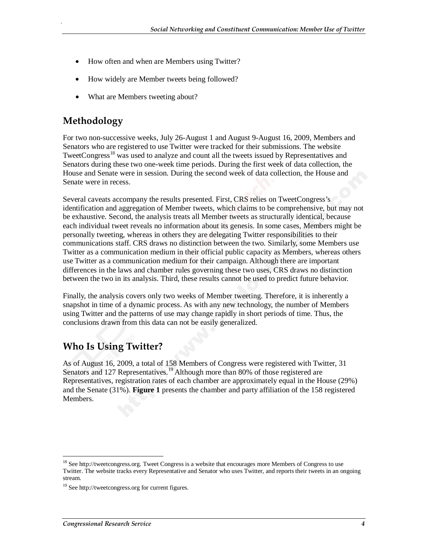- How often and when are Members using Twitter?
- How widely are Member tweets being followed?
- What are Members tweeting about?

### **Methodology**

.

For two non-successive weeks, July 26-August 1 and August 9-August 16, 2009, Members and Senators who are registered to use Twitter were tracked for their submissions. The website TweetCongress<sup>18</sup> was used to analyze and count all the tweets issued by Representatives and Senators during these two one-week time periods. During the first week of data collection, the House and Senate were in session. During the second week of data collection, the House and Senate were in recess.

Several caveats accompany the results presented. First, CRS relies on TweetCongress's identification and aggregation of Member tweets, which claims to be comprehensive, but may not be exhaustive. Second, the analysis treats all Member tweets as structurally identical, because each individual tweet reveals no information about its genesis. In some cases, Members might be personally tweeting, whereas in others they are delegating Twitter responsibilities to their communications staff. CRS draws no distinction between the two. Similarly, some Members use Twitter as a communication medium in their official public capacity as Members, whereas others use Twitter as a communication medium for their campaign. Although there are important differences in the laws and chamber rules governing these two uses, CRS draws no distinction between the two in its analysis. Third, these results cannot be used to predict future behavior.

Finally, the analysis covers only two weeks of Member tweeting. Therefore, it is inherently a snapshot in time of a dynamic process. As with any new technology, the number of Members using Twitter and the patterns of use may change rapidly in short periods of time. Thus, the conclusions drawn from this data can not be easily generalized.

### **Who Is Using Twitter?**

As of August 16, 2009, a total of 158 Members of Congress were registered with Twitter, 31 Senators and 127 Representatives.<sup>19</sup> Although more than 80% of those registered are Representatives, registration rates of each chamber are approximately equal in the House (29%) and the Senate (31%). **Figure 1** presents the chamber and party affiliation of the 158 registered Members.

<sup>-</sup><sup>18</sup> See http://tweetcongress.org. Tweet Congress is a website that encourages more Members of Congress to use Twitter. The website tracks every Representative and Senator who uses Twitter, and reports their tweets in an ongoing stream.

 $19$  See http://tweetcongress.org for current figures.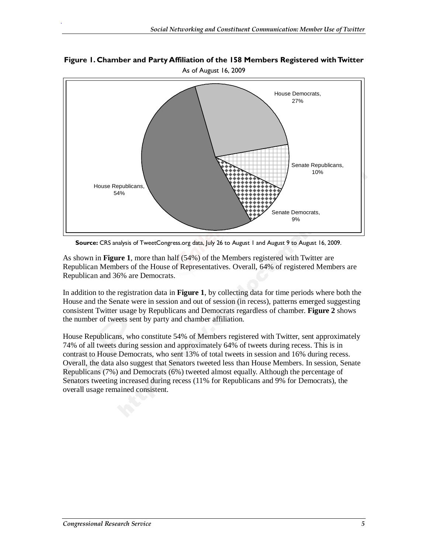#### **Figure 1. Chamber and Party Affiliation of the 158 Members Registered with Twitter**  As of August 16, 2009



**Source:** CRS analysis of TweetCongress.org data, July 26 to August 1 and August 9 to August 16, 2009.

As shown in **Figure 1**, more than half (54%) of the Members registered with Twitter are Republican Members of the House of Representatives. Overall, 64% of registered Members are Republican and 36% are Democrats.

In addition to the registration data in **Figure 1**, by collecting data for time periods where both the House and the Senate were in session and out of session (in recess), patterns emerged suggesting consistent Twitter usage by Republicans and Democrats regardless of chamber. **Figure 2** shows the number of tweets sent by party and chamber affiliation.

House Republicans, who constitute 54% of Members registered with Twitter, sent approximately 74% of all tweets during session and approximately 64% of tweets during recess. This is in contrast to House Democrats, who sent 13% of total tweets in session and 16% during recess. Overall, the data also suggest that Senators tweeted less than House Members. In session, Senate Republicans (7%) and Democrats (6%) tweeted almost equally. Although the percentage of Senators tweeting increased during recess (11% for Republicans and 9% for Democrats), the overall usage remained consistent.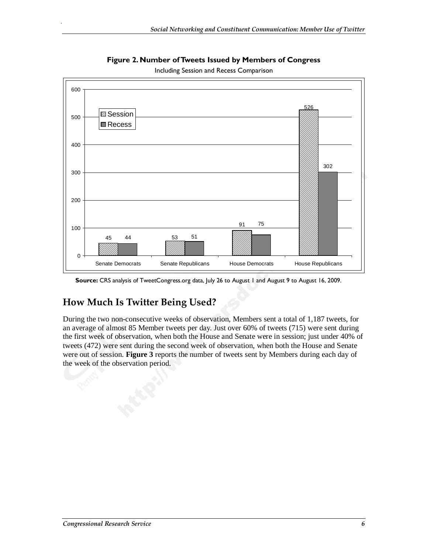

**Figure 2. Number of Tweets Issued by Members of Congress** 

Including Session and Recess Comparison

## **How Much Is Twitter Being Used?**

.

During the two non-consecutive weeks of observation, Members sent a total of 1,187 tweets, for an average of almost 85 Member tweets per day. Just over 60% of tweets (715) were sent during the first week of observation, when both the House and Senate were in session; just under 40% of tweets (472) were sent during the second week of observation, when both the House and Senate were out of session. **Figure 3** reports the number of tweets sent by Members during each day of the week of the observation period.

**Source:** CRS analysis of TweetCongress.org data, July 26 to August 1 and August 9 to August 16, 2009.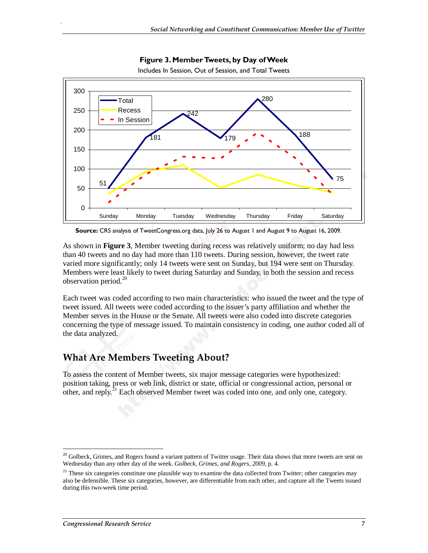

**Figure 3. Member Tweets, by Day of Week** 

Includes In Session, Out of Session, and Total Tweets

**Source:** CRS analysis of TweetCongress.org data, July 26 to August 1 and August 9 to August 16, 2009.

As shown in **Figure 3**, Member tweeting during recess was relatively uniform; no day had less than 40 tweets and no day had more than 110 tweets. During session, however, the tweet rate varied more significantly; only 14 tweets were sent on Sunday, but 194 were sent on Thursday. Members were least likely to tweet during Saturday and Sunday, in both the session and recess observation period. $^{20}$ 

Each tweet was coded according to two main characteristics: who issued the tweet and the type of tweet issued. All tweets were coded according to the issuer's party affiliation and whether the Member serves in the House or the Senate. All tweets were also coded into discrete categories concerning the type of message issued. To maintain consistency in coding, one author coded all of the data analyzed.

### **What Are Members Tweeting About?**

To assess the content of Member tweets, six major message categories were hypothesized: position taking, press or web link, district or state, official or congressional action, personal or other, and reply.<sup>21</sup> Each observed Member tweet was coded into one, and only one, category.

<sup>&</sup>lt;u>.</u> <sup>20</sup> Golbeck, Grimes, and Rogers found a variant pattern of Twitter usage. Their data shows that more tweets are sent on Wednesday than any other day of the week. *Golbeck, Grimes, and Rogers, 2009*, p. 4.

 $21$  These six categories constitute one plausible way to examine the data collected from Twitter; other categories may also be defensible. These six categories, however, are differentiable from each other, and capture all the Tweets issued during this two-week time period.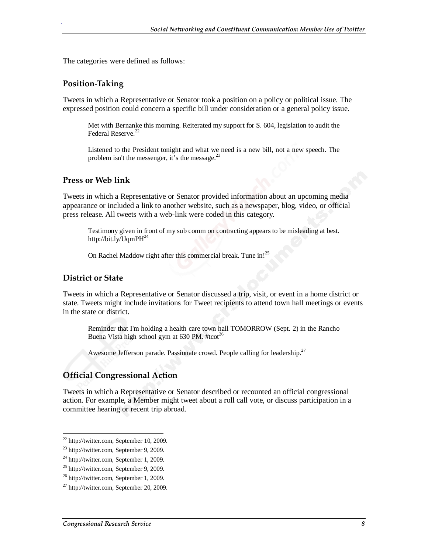The categories were defined as follows:

#### **Position-Taking**

.

Tweets in which a Representative or Senator took a position on a policy or political issue. The expressed position could concern a specific bill under consideration or a general policy issue.

Met with Bernanke this morning. Reiterated my support for S. 604, legislation to audit the Federal Reserve.<sup>2</sup>

Listened to the President tonight and what we need is a new bill, not a new speech. The problem isn't the messenger, it's the message.<sup>23</sup>

#### **Press or Web link**

Tweets in which a Representative or Senator provided information about an upcoming media appearance or included a link to another website, such as a newspaper, blog, video, or official press release. All tweets with a web-link were coded in this category.

Testimony given in front of my sub comm on contracting appears to be misleading at best. http://bit.ly/UqmPH<sup>24</sup>

On Rachel Maddow right after this commercial break. Tune in!<sup>25</sup>

#### **District or State**

Tweets in which a Representative or Senator discussed a trip, visit, or event in a home district or state. Tweets might include invitations for Tweet recipients to attend town hall meetings or events in the state or district.

Reminder that I'm holding a health care town hall TOMORROW (Sept. 2) in the Rancho Buena Vista high school gym at  $630$  PM. #tcot<sup>26</sup>

Awesome Jefferson parade. Passionate crowd. People calling for leadership.<sup>27</sup>

#### **Official Congressional Action**

Tweets in which a Representative or Senator described or recounted an official congressional action. For example, a Member might tweet about a roll call vote, or discuss participation in a committee hearing or recent trip abroad.

-

 $22$  http://twitter.com, September 10, 2009.

<sup>23</sup> http://twitter.com, September 9, 2009.

 $24$  http://twitter.com, September 1, 2009.

<sup>&</sup>lt;sup>25</sup> http://twitter.com, September 9, 2009.

<sup>26</sup> http://twitter.com, September 1, 2009.

 $^{27}$  http://twitter.com, September 20, 2009.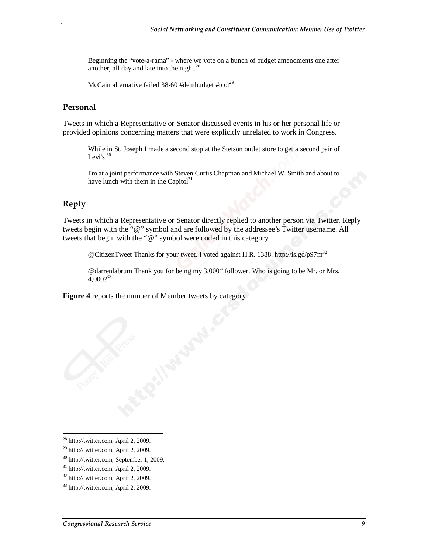Beginning the "vote-a-rama" - where we vote on a bunch of budget amendments one after another, all day and late into the night. $^{28}$ 

McCain alternative failed  $38-60$  #dembudget #tcot<sup>29</sup>

#### **Personal**

.

Tweets in which a Representative or Senator discussed events in his or her personal life or provided opinions concerning matters that were explicitly unrelated to work in Congress.

While in St. Joseph I made a second stop at the Stetson outlet store to get a second pair of Levi's. $30$ 

I'm at a joint performance with Steven Curtis Chapman and Michael W. Smith and about to have lunch with them in the Capitol $31$ 

#### **Reply**

Tweets in which a Representative or Senator directly replied to another person via Twitter. Reply tweets begin with the "@" symbol and are followed by the addressee's Twitter username. All tweets that begin with the "@" symbol were coded in this category.

@CitizenTweet Thanks for your tweet. I voted against H.R. 1388. http://is.gd/p97m32

 $\omega$  darrenlabrum Thank you for being my 3,000<sup>th</sup> follower. Who is going to be Mr. or Mrs.  $4,000^{33}$ 

**Figure 4** reports the number of Member tweets by category.

-

 $^{28}$  http://twitter.com, April 2, 2009.

<sup>29</sup> http://twitter.com, April 2, 2009.

<sup>30</sup> http://twitter.com, September 1, 2009.

 $31$  http://twitter.com, April 2, 2009.

 $32$  http://twitter.com, April 2, 2009.

<sup>33</sup> http://twitter.com, April 2, 2009.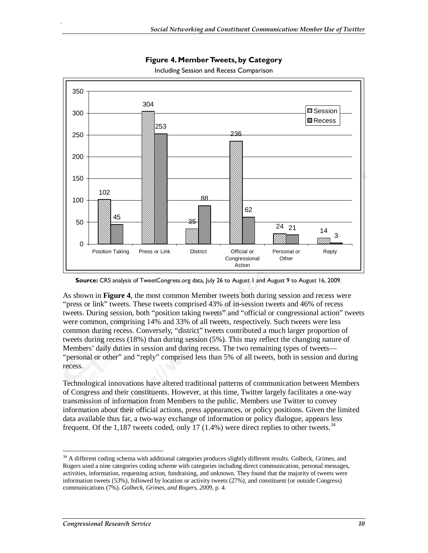

**Figure 4. Member Tweets, by Category** 

Including Session and Recess Comparison

As shown in **Figure 4**, the most common Member tweets both during session and recess were "press or link" tweets. These tweets comprised 43% of in-session tweets and 46% of recess tweets. During session, both "position taking tweets" and "official or congressional action" tweets were common, comprising 14% and 33% of all tweets, respectively. Such tweets were less common during recess. Conversely, "district" tweets contributed a much larger proportion of tweets during recess (18%) than during session (5%). This may reflect the changing nature of Members' daily duties in session and during recess. The two remaining types of tweets— "personal or other" and "reply" comprised less than 5% of all tweets, both in session and during recess.

Technological innovations have altered traditional patterns of communication between Members of Congress and their constituents. However, at this time, Twitter largely facilitates a one-way transmission of information from Members to the public. Members use Twitter to convey information about their official actions, press appearances, or policy positions. Given the limited data available thus far, a two-way exchange of information or policy dialogue, appears less frequent. Of the 1,187 tweets coded, only 17 (1.4%) were direct replies to other tweets.<sup>34</sup>

**Source:** CRS analysis of TweetCongress.org data, July 26 to August 1 and August 9 to August 16, 2009.

<sup>-</sup><sup>34</sup> A different coding schema with additional categories produces slightly different results. Golbeck, Grimes, and Rogers used a nine categories coding scheme with categories including direct communication, personal messages, activities, information, requesting action, fundraising, and unknown. They found that the majority of tweets were information tweets (53%), followed by location or activity tweets (27%), and constituent (or outside Congress) communications (7%). *Golbeck, Grimes, and Rogers, 2009*, p. 4.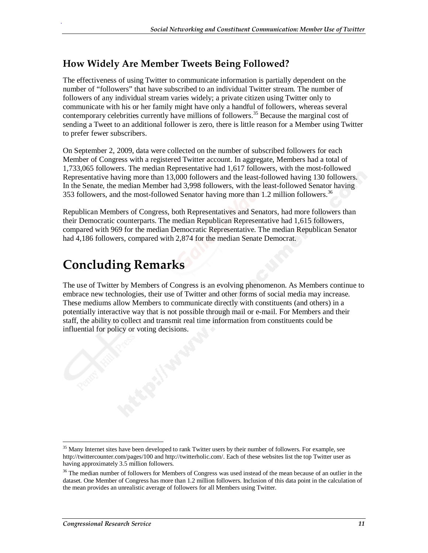### **How Widely Are Member Tweets Being Followed?**

The effectiveness of using Twitter to communicate information is partially dependent on the number of "followers" that have subscribed to an individual Twitter stream. The number of followers of any individual stream varies widely; a private citizen using Twitter only to communicate with his or her family might have only a handful of followers, whereas several contemporary celebrities currently have millions of followers.<sup>35</sup> Because the marginal cost of sending a Tweet to an additional follower is zero, there is little reason for a Member using Twitter to prefer fewer subscribers.

On September 2, 2009, data were collected on the number of subscribed followers for each Member of Congress with a registered Twitter account. In aggregate, Members had a total of 1,733,065 followers. The median Representative had 1,617 followers, with the most-followed Representative having more than 13,000 followers and the least-followed having 130 followers. In the Senate, the median Member had 3,998 followers, with the least-followed Senator having 353 followers, and the most-followed Senator having more than 1.2 million followers.<sup>36</sup>

Republican Members of Congress, both Representatives and Senators, had more followers than their Democratic counterparts. The median Republican Representative had 1,615 followers, compared with 969 for the median Democratic Representative. The median Republican Senator had 4,186 followers, compared with 2,874 for the median Senate Democrat.

## **Concluding Remarks**

.

The use of Twitter by Members of Congress is an evolving phenomenon. As Members continue to embrace new technologies, their use of Twitter and other forms of social media may increase. These mediums allow Members to communicate directly with constituents (and others) in a potentially interactive way that is not possible through mail or e-mail. For Members and their staff, the ability to collect and transmit real time information from constituents could be influential for policy or voting decisions.

<sup>-</sup><sup>35</sup> Many Internet sites have been developed to rank Twitter users by their number of followers. For example, see http://twittercounter.com/pages/100 and http://twitterholic.com/. Each of these websites list the top Twitter user as having approximately 3.5 million followers.

<sup>&</sup>lt;sup>36</sup> The median number of followers for Members of Congress was used instead of the mean because of an outlier in the dataset. One Member of Congress has more than 1.2 million followers. Inclusion of this data point in the calculation of the mean provides an unrealistic average of followers for all Members using Twitter.